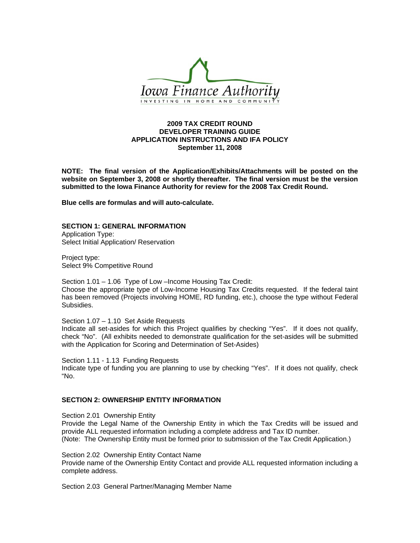

## **2009 TAX CREDIT ROUND DEVELOPER TRAINING GUIDE APPLICATION INSTRUCTIONS AND IFA POLICY September 11, 2008**

**NOTE: The final version of the Application/Exhibits/Attachments will be posted on the website on September 3, 2008 or shortly thereafter. The final version must be the version submitted to the Iowa Finance Authority for review for the 2008 Tax Credit Round.** 

**Blue cells are formulas and will auto-calculate.** 

#### **SECTION 1: GENERAL INFORMATION**

Application Type: Select Initial Application/ Reservation

Project type: Select 9% Competitive Round

Subsidies.

Section 1.01 – 1.06 Type of Low –Income Housing Tax Credit: Choose the appropriate type of Low-Income Housing Tax Credits requested. If the federal taint has been removed (Projects involving HOME, RD funding, etc.), choose the type without Federal

Section 1.07 – 1.10 Set Aside Requests

Indicate all set-asides for which this Project qualifies by checking "Yes". If it does not qualify, check "No". (All exhibits needed to demonstrate qualification for the set-asides will be submitted with the Application for Scoring and Determination of Set-Asides)

Section 1.11 - 1.13 Funding Requests

Indicate type of funding you are planning to use by checking "Yes". If it does not qualify, check "No.

## **SECTION 2: OWNERSHIP ENTITY INFORMATION**

Section 2.01 Ownership Entity

Provide the Legal Name of the Ownership Entity in which the Tax Credits will be issued and provide ALL requested information including a complete address and Tax ID number. (Note: The Ownership Entity must be formed prior to submission of the Tax Credit Application.)

Section 2.02 Ownership Entity Contact Name

Provide name of the Ownership Entity Contact and provide ALL requested information including a complete address.

Section 2.03 General Partner/Managing Member Name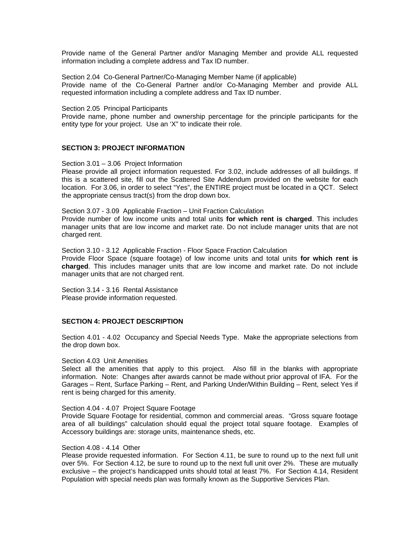Provide name of the General Partner and/or Managing Member and provide ALL requested information including a complete address and Tax ID number.

Section 2.04 Co-General Partner/Co-Managing Member Name (if applicable) Provide name of the Co-General Partner and/or Co-Managing Member and provide ALL requested information including a complete address and Tax ID number.

#### Section 2.05 Principal Participants

Provide name, phone number and ownership percentage for the principle participants for the entity type for your project. Use an 'X" to indicate their role.

### **SECTION 3: PROJECT INFORMATION**

Section 3.01 – 3.06 Project Information

Please provide all project information requested. For 3.02, include addresses of all buildings. If this is a scattered site, fill out the Scattered Site Addendum provided on the website for each location. For 3.06, in order to select "Yes", the ENTIRE project must be located in a QCT. Select the appropriate census tract(s) from the drop down box.

Section 3.07 - 3.09 Applicable Fraction – Unit Fraction Calculation

Provide number of low income units and total units **for which rent is charged**. This includes manager units that are low income and market rate. Do not include manager units that are not charged rent.

Section 3.10 - 3.12 Applicable Fraction - Floor Space Fraction Calculation Provide Floor Space (square footage) of low income units and total units **for which rent is charged**. This includes manager units that are low income and market rate. Do not include manager units that are not charged rent.

Section 3.14 - 3.16 Rental Assistance Please provide information requested.

## **SECTION 4: PROJECT DESCRIPTION**

Section 4.01 - 4.02 Occupancy and Special Needs Type. Make the appropriate selections from the drop down box.

### Section 4.03 Unit Amenities

Select all the amenities that apply to this project. Also fill in the blanks with appropriate information. Note: Changes after awards cannot be made without prior approval of IFA. For the Garages – Rent, Surface Parking – Rent, and Parking Under/Within Building – Rent, select Yes if rent is being charged for this amenity.

#### Section 4.04 - 4.07 Project Square Footage

Provide Square Footage for residential, common and commercial areas. "Gross square footage area of all buildings" calculation should equal the project total square footage. Examples of Accessory buildings are: storage units, maintenance sheds, etc.

#### Section 4.08 - 4.14 Other

Please provide requested information. For Section 4.11, be sure to round up to the next full unit over 5%. For Section 4.12, be sure to round up to the next full unit over 2%. These are mutually exclusive – the project's handicapped units should total at least 7%. For Section 4.14, Resident Population with special needs plan was formally known as the Supportive Services Plan.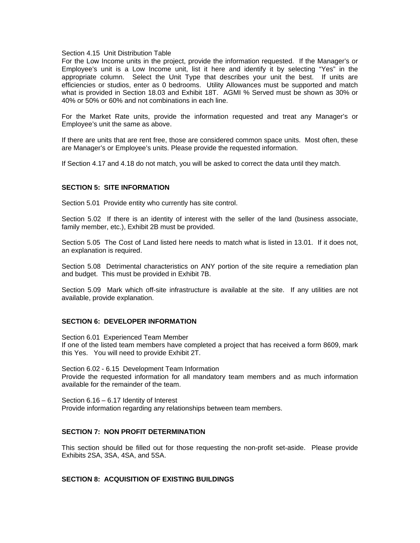#### Section 4.15 Unit Distribution Table

For the Low Income units in the project, provide the information requested. If the Manager's or Employee's unit is a Low Income unit, list it here and identify it by selecting "Yes" in the appropriate column. Select the Unit Type that describes your unit the best. If units are efficiencies or studios, enter as 0 bedrooms. Utility Allowances must be supported and match what is provided in Section 18.03 and Exhibit 18T. AGMI % Served must be shown as 30% or 40% or 50% or 60% and not combinations in each line.

For the Market Rate units, provide the information requested and treat any Manager's or Employee's unit the same as above.

If there are units that are rent free, those are considered common space units. Most often, these are Manager's or Employee's units. Please provide the requested information.

If Section 4.17 and 4.18 do not match, you will be asked to correct the data until they match.

### **SECTION 5: SITE INFORMATION**

Section 5.01 Provide entity who currently has site control.

Section 5.02 If there is an identity of interest with the seller of the land (business associate, family member, etc.), Exhibit 2B must be provided.

Section 5.05 The Cost of Land listed here needs to match what is listed in 13.01. If it does not, an explanation is required.

Section 5.08 Detrimental characteristics on ANY portion of the site require a remediation plan and budget. This must be provided in Exhibit 7B.

Section 5.09 Mark which off-site infrastructure is available at the site. If any utilities are not available, provide explanation.

## **SECTION 6: DEVELOPER INFORMATION**

Section 6.01 Experienced Team Member If one of the listed team members have completed a project that has received a form 8609, mark this Yes. You will need to provide Exhibit 2T.

Section 6.02 - 6.15 Development Team Information Provide the requested information for all mandatory team members and as much information available for the remainder of the team.

Section 6.16 – 6.17 Identity of Interest Provide information regarding any relationships between team members.

### **SECTION 7: NON PROFIT DETERMINATION**

This section should be filled out for those requesting the non-profit set-aside. Please provide Exhibits 2SA, 3SA, 4SA, and 5SA.

# **SECTION 8: ACQUISITION OF EXISTING BUILDINGS**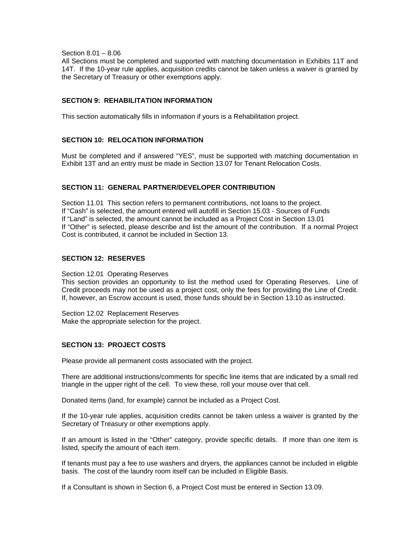Section 8.01 – 8.06

All Sections must be completed and supported with matching documentation in Exhibits 11T and 14T. If the 10-year rule applies, acquisition credits cannot be taken unless a waiver is granted by the Secretary of Treasury or other exemptions apply.

# **SECTION 9: REHABILITATION INFORMATION**

This section automatically fills in information if yours is a Rehabilitation project.

## **SECTION 10: RELOCATION INFORMATION**

Must be completed and if answered "YES", must be supported with matching documentation in Exhibit 13T and an entry must be made in Section 13.07 for Tenant Relocation Costs.

### **SECTION 11: GENERAL PARTNER/DEVELOPER CONTRIBUTION**

Section 11.01 This section refers to permanent contributions, not loans to the project. If "Cash" is selected, the amount entered will autofill in Section 15.03 - Sources of Funds If "Land" is selected, the amount cannot be included as a Project Cost in Section 13.01 If "Other" is selected, please describe and list the amount of the contribution. If a normal Project Cost is contributed, it cannot be included in Section 13.

# **SECTION 12: RESERVES**

#### Section 12.01 Operating Reserves

This section provides an opportunity to list the method used for Operating Reserves. Line of Credit proceeds may not be used as a project cost, only the fees for providing the Line of Credit. If, however, an Escrow account is used, those funds should be in Section 13.10 as instructed.

Section 12.02 Replacement Reserves Make the appropriate selection for the project.

### **SECTION 13: PROJECT COSTS**

Please provide all permanent costs associated with the project.

There are additional instructions/comments for specific line items that are indicated by a small red triangle in the upper right of the cell. To view these, roll your mouse over that cell.

Donated items (land, for example) cannot be included as a Project Cost.

If the 10-year rule applies, acquisition credits cannot be taken unless a waiver is granted by the Secretary of Treasury or other exemptions apply.

If an amount is listed in the "Other" category, provide specific details. If more than one item is listed, specify the amount of each item.

If tenants must pay a fee to use washers and dryers, the appliances cannot be included in eligible basis. The cost of the laundry room itself can be included in Eligible Basis.

If a Consultant is shown in Section 6, a Project Cost must be entered in Section 13.09.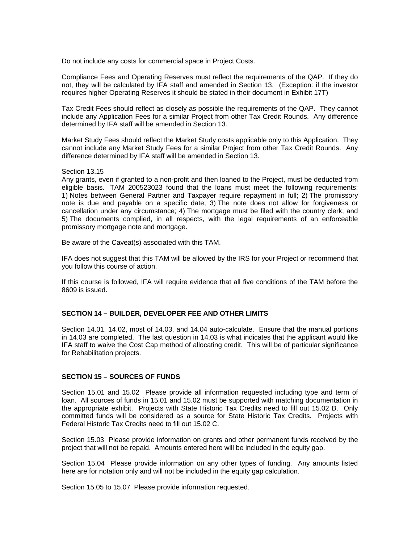Do not include any costs for commercial space in Project Costs.

Compliance Fees and Operating Reserves must reflect the requirements of the QAP. If they do not, they will be calculated by IFA staff and amended in Section 13. (Exception: if the investor requires higher Operating Reserves it should be stated in their document in Exhibit 17T)

Tax Credit Fees should reflect as closely as possible the requirements of the QAP. They cannot include any Application Fees for a similar Project from other Tax Credit Rounds. Any difference determined by IFA staff will be amended in Section 13.

Market Study Fees should reflect the Market Study costs applicable only to this Application. They cannot include any Market Study Fees for a similar Project from other Tax Credit Rounds. Any difference determined by IFA staff will be amended in Section 13.

#### Section 13.15

Any grants, even if granted to a non-profit and then loaned to the Project, must be deducted from eligible basis. TAM 200523023 found that the loans must meet the following requirements: 1) Notes between General Partner and Taxpayer require repayment in full; 2) The promissory note is due and payable on a specific date; 3) The note does not allow for forgiveness or cancellation under any circumstance; 4) The mortgage must be filed with the country clerk; and 5) The documents complied, in all respects, with the legal requirements of an enforceable promissory mortgage note and mortgage.

Be aware of the Caveat(s) associated with this TAM.

IFA does not suggest that this TAM will be allowed by the IRS for your Project or recommend that you follow this course of action.

If this course is followed, IFA will require evidence that all five conditions of the TAM before the 8609 is issued.

## **SECTION 14 – BUILDER, DEVELOPER FEE AND OTHER LIMITS**

Section 14.01, 14.02, most of 14.03, and 14.04 auto-calculate. Ensure that the manual portions in 14.03 are completed. The last question in 14.03 is what indicates that the applicant would like IFA staff to waive the Cost Cap method of allocating credit. This will be of particular significance for Rehabilitation projects.

### **SECTION 15 – SOURCES OF FUNDS**

Section 15.01 and 15.02 Please provide all information requested including type and term of loan. All sources of funds in 15.01 and 15.02 must be supported with matching documentation in the appropriate exhibit. Projects with State Historic Tax Credits need to fill out 15.02 B. Only committed funds will be considered as a source for State Historic Tax Credits. Projects with Federal Historic Tax Credits need to fill out 15.02 C.

Section 15.03 Please provide information on grants and other permanent funds received by the project that will not be repaid. Amounts entered here will be included in the equity gap.

Section 15.04 Please provide information on any other types of funding. Any amounts listed here are for notation only and will not be included in the equity gap calculation.

Section 15.05 to 15.07 Please provide information requested.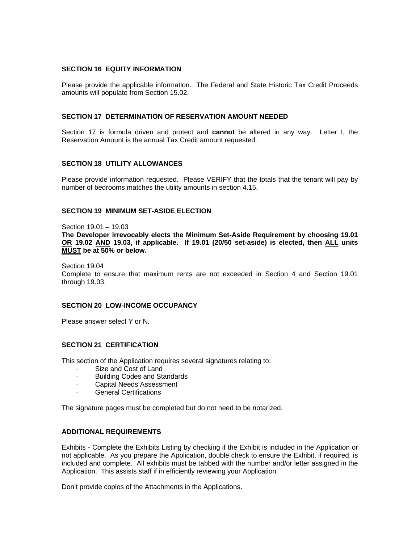#### **SECTION 16 EQUITY INFORMATION**

Please provide the applicable information. The Federal and State Historic Tax Credit Proceeds amounts will populate from Section 15.02.

#### **SECTION 17 DETERMINATION OF RESERVATION AMOUNT NEEDED**

Section 17 is formula driven and protect and **cannot** be altered in any way. Letter I, the Reservation Amount is the annual Tax Credit amount requested.

### **SECTION 18 UTILITY ALLOWANCES**

Please provide information requested. Please VERIFY that the totals that the tenant will pay by number of bedrooms matches the utility amounts in section 4.15.

## **SECTION 19 MINIMUM SET-ASIDE ELECTION**

Section 19.01 – 19.03 **The Developer irrevocably elects the Minimum Set-Aside Requirement by choosing 19.01 OR 19.02 AND 19.03, if applicable. If 19.01 (20/50 set-aside) is elected, then ALL units MUST be at 50% or below.** 

Section 19.04 Complete to ensure that maximum rents are not exceeded in Section 4 and Section 19.01 through 19.03.

## **SECTION 20 LOW-INCOME OCCUPANCY**

Please answer select Y or N.

# **SECTION 21 CERTIFICATION**

This section of the Application requires several signatures relating to:

- Size and Cost of Land
- · Building Codes and Standards
- · Capital Needs Assessment
- · General Certifications

The signature pages must be completed but do not need to be notarized.

# **ADDITIONAL REQUIREMENTS**

Exhibits - Complete the Exhibits Listing by checking if the Exhibit is included in the Application or not applicable. As you prepare the Application, double check to ensure the Exhibit, if required, is included and complete. All exhibits must be tabbed with the number and/or letter assigned in the Application. This assists staff if in efficiently reviewing your Application.

Don't provide copies of the Attachments in the Applications.